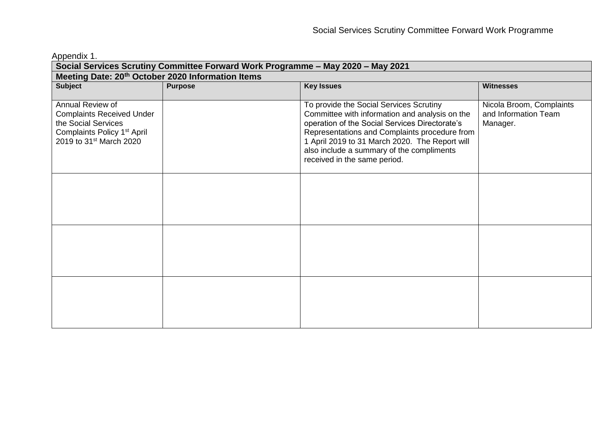Appendix 1.

| Social Services Scrutiny Committee Forward Work Programme - May 2020 - May 2021                                                                               |                |                                                                                                                                                                                                                                                                                                                             |                                                              |  |
|---------------------------------------------------------------------------------------------------------------------------------------------------------------|----------------|-----------------------------------------------------------------------------------------------------------------------------------------------------------------------------------------------------------------------------------------------------------------------------------------------------------------------------|--------------------------------------------------------------|--|
| Meeting Date: 20 <sup>th</sup> October 2020 Information Items                                                                                                 |                |                                                                                                                                                                                                                                                                                                                             |                                                              |  |
| <b>Subject</b>                                                                                                                                                | <b>Purpose</b> | <b>Key Issues</b>                                                                                                                                                                                                                                                                                                           | <b>Witnesses</b>                                             |  |
| Annual Review of<br><b>Complaints Received Under</b><br>the Social Services<br>Complaints Policy 1 <sup>st</sup> April<br>2019 to 31 <sup>st</sup> March 2020 |                | To provide the Social Services Scrutiny<br>Committee with information and analysis on the<br>operation of the Social Services Directorate's<br>Representations and Complaints procedure from<br>1 April 2019 to 31 March 2020. The Report will<br>also include a summary of the compliments<br>received in the same period. | Nicola Broom, Complaints<br>and Information Team<br>Manager. |  |
|                                                                                                                                                               |                |                                                                                                                                                                                                                                                                                                                             |                                                              |  |
|                                                                                                                                                               |                |                                                                                                                                                                                                                                                                                                                             |                                                              |  |
|                                                                                                                                                               |                |                                                                                                                                                                                                                                                                                                                             |                                                              |  |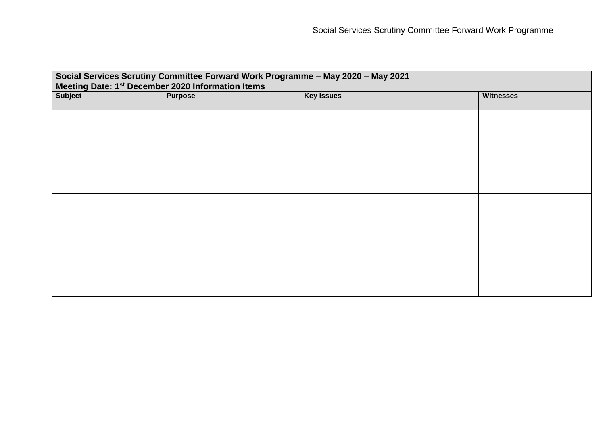| Social Services Scrutiny Committee Forward Work Programme - May 2020 - May 2021 |                |                   |                  |  |
|---------------------------------------------------------------------------------|----------------|-------------------|------------------|--|
| Meeting Date: 1 <sup>st</sup> December 2020 Information Items                   |                |                   |                  |  |
| <b>Subject</b>                                                                  | <b>Purpose</b> | <b>Key Issues</b> | <b>Witnesses</b> |  |
|                                                                                 |                |                   |                  |  |
|                                                                                 |                |                   |                  |  |
|                                                                                 |                |                   |                  |  |
|                                                                                 |                |                   |                  |  |
|                                                                                 |                |                   |                  |  |
|                                                                                 |                |                   |                  |  |
|                                                                                 |                |                   |                  |  |
|                                                                                 |                |                   |                  |  |
|                                                                                 |                |                   |                  |  |
|                                                                                 |                |                   |                  |  |
|                                                                                 |                |                   |                  |  |
|                                                                                 |                |                   |                  |  |
|                                                                                 |                |                   |                  |  |
|                                                                                 |                |                   |                  |  |
|                                                                                 |                |                   |                  |  |
|                                                                                 |                |                   |                  |  |
|                                                                                 |                |                   |                  |  |
|                                                                                 |                |                   |                  |  |
|                                                                                 |                |                   |                  |  |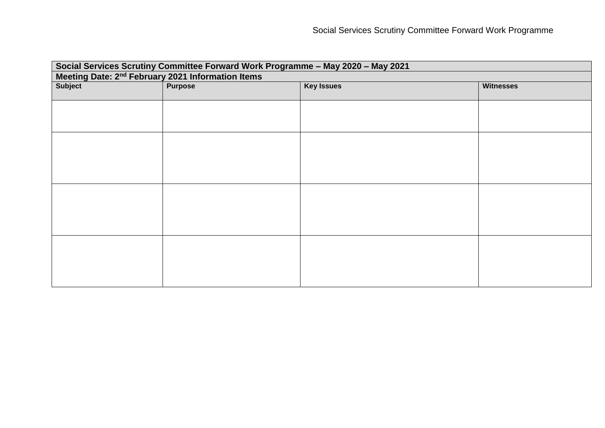| Social Services Scrutiny Committee Forward Work Programme - May 2020 - May 2021 |                |                   |                  |  |
|---------------------------------------------------------------------------------|----------------|-------------------|------------------|--|
| Meeting Date: 2 <sup>nd</sup> February 2021 Information Items                   |                |                   |                  |  |
| Subject                                                                         | <b>Purpose</b> | <b>Key Issues</b> | <b>Witnesses</b> |  |
|                                                                                 |                |                   |                  |  |
|                                                                                 |                |                   |                  |  |
|                                                                                 |                |                   |                  |  |
|                                                                                 |                |                   |                  |  |
|                                                                                 |                |                   |                  |  |
|                                                                                 |                |                   |                  |  |
|                                                                                 |                |                   |                  |  |
|                                                                                 |                |                   |                  |  |
|                                                                                 |                |                   |                  |  |
|                                                                                 |                |                   |                  |  |
|                                                                                 |                |                   |                  |  |
|                                                                                 |                |                   |                  |  |
|                                                                                 |                |                   |                  |  |
|                                                                                 |                |                   |                  |  |
|                                                                                 |                |                   |                  |  |
|                                                                                 |                |                   |                  |  |
|                                                                                 |                |                   |                  |  |
|                                                                                 |                |                   |                  |  |
|                                                                                 |                |                   |                  |  |
|                                                                                 |                |                   |                  |  |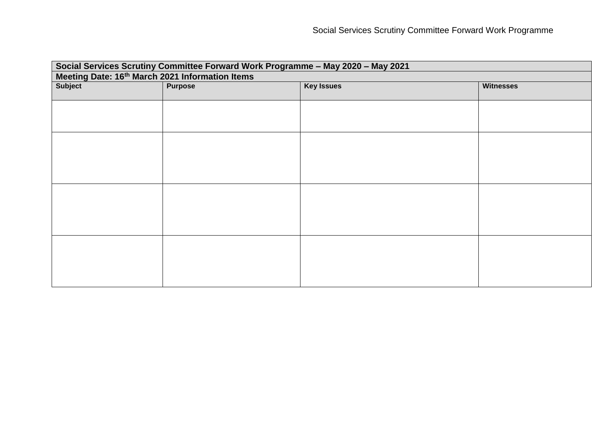| Subject<br><b>Purpose</b><br><b>Key Issues</b><br><b>Witnesses</b> | Social Services Scrutiny Committee Forward Work Programme - May 2020 - May 2021 |  |  |  |  |
|--------------------------------------------------------------------|---------------------------------------------------------------------------------|--|--|--|--|
|                                                                    | Meeting Date: 16th March 2021 Information Items                                 |  |  |  |  |
|                                                                    |                                                                                 |  |  |  |  |
|                                                                    |                                                                                 |  |  |  |  |
|                                                                    |                                                                                 |  |  |  |  |
|                                                                    |                                                                                 |  |  |  |  |
|                                                                    |                                                                                 |  |  |  |  |
|                                                                    |                                                                                 |  |  |  |  |
|                                                                    |                                                                                 |  |  |  |  |
|                                                                    |                                                                                 |  |  |  |  |
|                                                                    |                                                                                 |  |  |  |  |
|                                                                    |                                                                                 |  |  |  |  |
|                                                                    |                                                                                 |  |  |  |  |
|                                                                    |                                                                                 |  |  |  |  |
|                                                                    |                                                                                 |  |  |  |  |
|                                                                    |                                                                                 |  |  |  |  |
|                                                                    |                                                                                 |  |  |  |  |
|                                                                    |                                                                                 |  |  |  |  |
|                                                                    |                                                                                 |  |  |  |  |
|                                                                    |                                                                                 |  |  |  |  |
|                                                                    |                                                                                 |  |  |  |  |
|                                                                    |                                                                                 |  |  |  |  |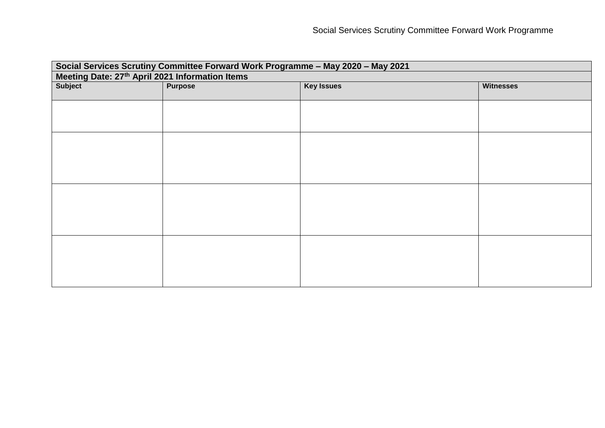| Social Services Scrutiny Committee Forward Work Programme - May 2020 - May 2021 |                |                   |                  |  |
|---------------------------------------------------------------------------------|----------------|-------------------|------------------|--|
| Meeting Date: 27 <sup>th</sup> April 2021 Information Items                     |                |                   |                  |  |
| <b>Subject</b>                                                                  | <b>Purpose</b> | <b>Key Issues</b> | <b>Witnesses</b> |  |
|                                                                                 |                |                   |                  |  |
|                                                                                 |                |                   |                  |  |
|                                                                                 |                |                   |                  |  |
|                                                                                 |                |                   |                  |  |
|                                                                                 |                |                   |                  |  |
|                                                                                 |                |                   |                  |  |
|                                                                                 |                |                   |                  |  |
|                                                                                 |                |                   |                  |  |
|                                                                                 |                |                   |                  |  |
|                                                                                 |                |                   |                  |  |
|                                                                                 |                |                   |                  |  |
|                                                                                 |                |                   |                  |  |
|                                                                                 |                |                   |                  |  |
|                                                                                 |                |                   |                  |  |
|                                                                                 |                |                   |                  |  |
|                                                                                 |                |                   |                  |  |
|                                                                                 |                |                   |                  |  |
|                                                                                 |                |                   |                  |  |
|                                                                                 |                |                   |                  |  |